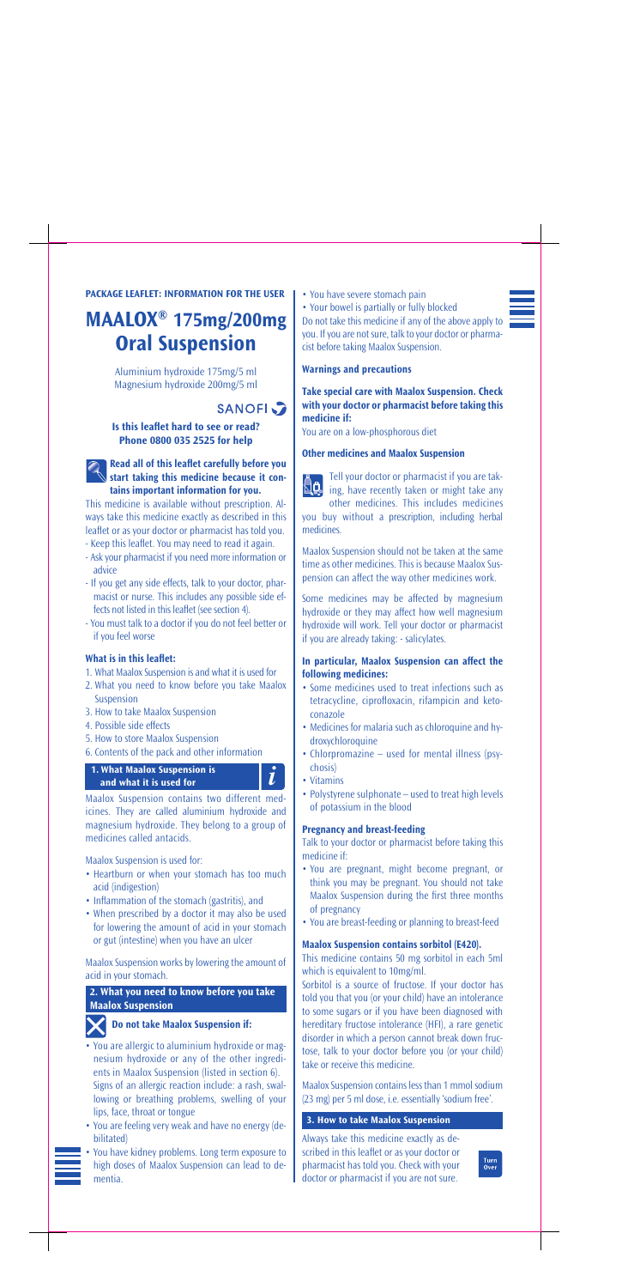#### **Read all of this leaflet carefully before you start taking this medicine because it contains important information for you.**

This medicine is available without prescription. Always take this medicine exactly as described in this leaflet or as your doctor or pharmacist has told you. - Keep this leaflet. You may need to read it again.

- Ask your pharmacist if you need more information or
- advice
- If you get any side effects, talk to your doctor, pharmacist or nurse. This includes any possible side effects not listed in this leaflet (see section 4).
- You must talk to a doctor if you do not feel better or if you feel worse

#### **What is in this leaflet:**

- 1. What Maalox Suspension is and what it is used for
- 2. What you need to know before you take Maalox Suspension
- 3. How to take Maalox Suspension
- 4. Possible side effects
- 5. How to store Maalox Suspension
- 6. Contents of the pack and other information

# **1.** What Maalox Suspension is  $\overrightarrow{\bm{l}}$

Maalox Suspension contains two different medicines. They are called aluminium hydroxide and magnesium hydroxide. They belong to a group of medicines called antacids.

Maalox Suspension is used for:

- Heartburn or when your stomach has too much acid (indigestion)
- Inflammation of the stomach (gastritis), and
- When prescribed by a doctor it may also be used for lowering the amount of acid in your stomach or gut (intestine) when you have an ulcer

**NQ** ing, have recently taken or might take any other medicines. This includes medicines you buy without a prescription, including herbal

Maalox Suspension works by lowering the amount of acid in your stomach.

**2. What you need to know before** 

• You have severe stomach pain

### **Do not take Maalox Suspension if:**

- You are allergic to aluminium hydroxide or magnesium hydroxide or any of the other ingredients in Maalox Suspension (listed in section 6). Signs of an allergic reaction include: a rash, swallowing or breathing problems, swelling of your lips, face, throat or tongue
- You are feeling very weak and have no energy (debilitated)
- You have kidney problems. Long term exposure to high doses of Maalox Suspension can lead to dementia.

• Your bowel is partially or fully blocked Do not take this medicine if any of the above apply to you. If you are not sure, talk to your doctor or pharmacist before taking Maalox Suspension.

**Warnings and precautions**

#### **Take special care with Maalox Suspension. Check with your doctor or pharmacist before taking this medicine if:**

You are on a low-phosphorous diet

#### **Other medicines and Maalox Suspension**



medicines.

Maalox Suspension should not be taken at the same time as other medicines. This is because Maalox Suspension can affect the way other medicines work.

Some medicines may be affected by magnesium hydroxide or they may affect how well magnesium hydroxide will work. Tell your doctor or pharmacist if you are already taking: - salicylates.

#### **In particular, Maalox Suspension can affect the following medicines:**

- Some medicines used to treat infections such as tetracycline, ciprofloxacin, rifampicin and ketoconazole
- Medicines for malaria such as chloroquine and hydroxychloroquine
- Chlorpromazine used for mental illness (psychosis)
- Vitamins
- Polystyrene sulphonate used to treat high levels of potassium in the blood

#### **Pregnancy and breast-feeding**

Talk to your doctor or pharmacist before taking this medicine if:

- You are pregnant, might become pregnant, or think you may be pregnant. You should not take Maalox Suspension during the first three months of pregnancy
- You are breast-feeding or planning to breast-feed

#### **Maalox Suspension contains sorbitol (E420).**

This medicine contains 50 mg sorbitol in each 5ml which is equivalent to 10mg/ml.

Sorbitol is a source of fructose. If your doctor has



told you that you (or your child) have an intolerance to some sugars or if you have been diagnosed with hereditary fructose intolerance (HFI), a rare genetic disorder in which a person cannot break down fructose, talk to your doctor before you (or your child) take or receive this medicine.

Maalox Suspension contains less than 1 mmol sodium (23 mg) per 5 ml dose, i.e. essentially 'sodium free'.

Always take this medicine exactly as described in this leaflet or as your doctor or pharmacist has told you. Check with your doctor or pharmacist if you are not sure.

Turn<br>Over

### **Maalox Suspension**



**3. How to take Maalox Suspension**

#### **PACKAGE LEAFLET: INFORMATION FOR THE USER**

# **MAALOX® 175mg/200mg Oral Suspension**

Aluminium hydroxide 175mg/5 ml Magnesium hydroxide 200mg/5 ml

## **SANOFI**

**Is this leaflet hard to see or read? Phone 0800 035 2525 for help**